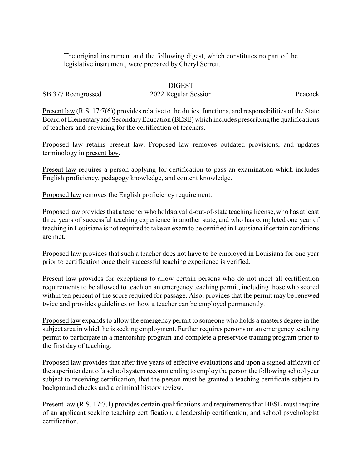The original instrument and the following digest, which constitutes no part of the legislative instrument, were prepared by Cheryl Serrett.

#### DIGEST

# SB 377 Reengrossed 2022 Regular Session Peacock

Present law (R.S. 17:7(6)) provides relative to the duties, functions, and responsibilities of the State Board of Elementary and Secondary Education (BESE) which includes prescribing the qualifications of teachers and providing for the certification of teachers.

Proposed law retains present law. Proposed law removes outdated provisions, and updates terminology in present law.

Present law requires a person applying for certification to pass an examination which includes English proficiency, pedagogy knowledge, and content knowledge.

Proposed law removes the English proficiency requirement.

Proposed law provides that a teacher who holds a valid-out-of-state teaching license, who has at least three years of successful teaching experience in another state, and who has completed one year of teaching in Louisiana is not required to take an exam to be certified in Louisiana if certain conditions are met.

Proposed law provides that such a teacher does not have to be employed in Louisiana for one year prior to certification once their successful teaching experience is verified.

Present law provides for exceptions to allow certain persons who do not meet all certification requirements to be allowed to teach on an emergency teaching permit, including those who scored within ten percent of the score required for passage. Also, provides that the permit may be renewed twice and provides guidelines on how a teacher can be employed permanently.

Proposed law expands to allow the emergency permit to someone who holds a masters degree in the subject area in which he is seeking employment. Further requires persons on an emergency teaching permit to participate in a mentorship program and complete a preservice training program prior to the first day of teaching.

Proposed law provides that after five years of effective evaluations and upon a signed affidavit of the superintendent of a school system recommending to employ the person the following school year subject to receiving certification, that the person must be granted a teaching certificate subject to background checks and a criminal history review.

Present law (R.S. 17:7.1) provides certain qualifications and requirements that BESE must require of an applicant seeking teaching certification, a leadership certification, and school psychologist certification.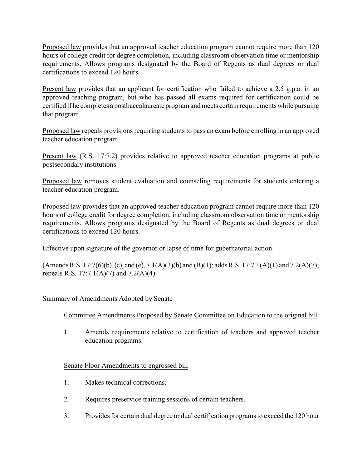Proposed law provides that an approved teacher education program cannot require more than 120 hours of college credit for degree completion, including classroom observation time or mentorship requirements. Allows programs designated by the Board of Regents as dual degrees or dual certifications to exceed 120 hours.

Present law provides that an applicant for certification who failed to achieve a 2.5 g.p.a. in an approved teaching program, but who has passed all exams required for certification could be certified if he completes a postbaccalaureate program and meets certain requirements while pursuing that program.

Proposed law repeals provisions requiring students to pass an exam before enrolling in an approved teacher education program.

Present law (R.S. 17:7.2) provides relative to approved teacher education programs at public postsecondary institutions.

Proposed law removes student evaluation and counseling requirements for students entering a teacher education program.

Proposed law provides that an approved teacher education program cannot require more than 120 hours of college credit for degree completion, including classroom observation time or mentorship requirements. Allows programs designated by the Board of Regents as dual degrees or dual certifications to exceed 120 hours.

Effective upon signature of the governor or lapse of time for gubernatorial action.

 $(Amends R.S. 17:7(6)(b), (c), and (e), 7.1(A)(3)(b) and (B)(1); adds R.S. 17:7.1(A)(1) and 7.2(A)(7);$ repeals R.S.  $17:7.1(A)(7)$  and  $7.2(A)(4)$ 

## Summary of Amendments Adopted by Senate

## Committee Amendments Proposed by Senate Committee on Education to the original bill

1. Amends requirements relative to certification of teachers and approved teacher education programs.

#### Senate Floor Amendments to engrossed bill

- 1. Makes technical corrections.
- 2. Requires preservice training sessions of certain teachers.
- 3. Provides for certain dual degree or dual certification programs to exceed the 120 hour